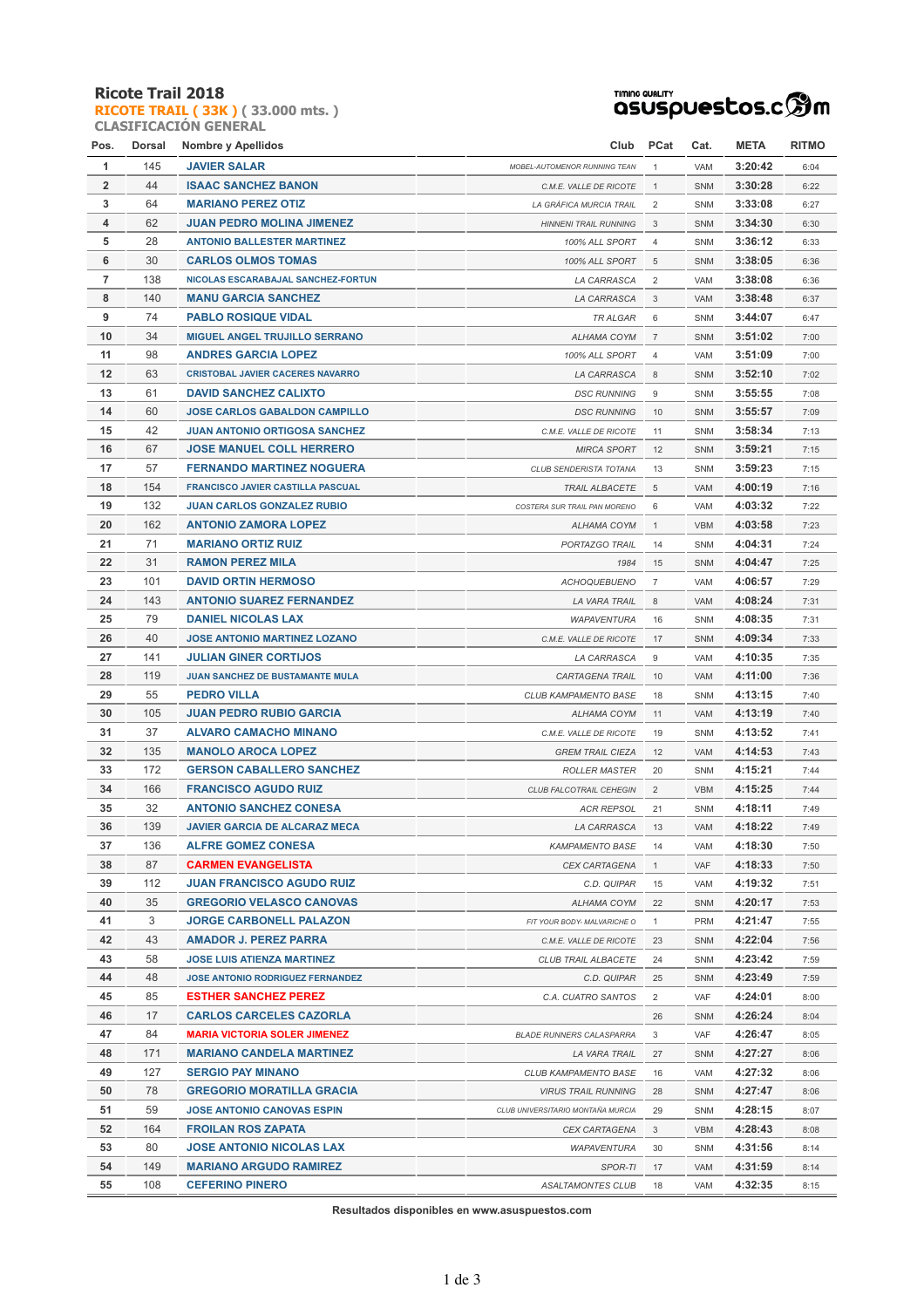### **Ricote Trail 2018**

**RICOTE TRAIL ( 33K ) ( 33.000 mts. ) CLASIFICACIÓN GENERAL**

### **TIMING QUALITY**<br>QSUSpUestos.c<sup>6</sup>m

| Pos.           | Dorsal | <b>Nombre y Apellidos</b>               | Club                              | PCat           | Cat.       | <b>META</b> | RITMO |
|----------------|--------|-----------------------------------------|-----------------------------------|----------------|------------|-------------|-------|
| 1              | 145    | <b>JAVIER SALAR</b>                     | MOBEL-AUTOMENOR RUNNING TEAN      | 1              | VAM        | 3:20:42     | 6:04  |
| $\overline{2}$ | 44     | <b>ISAAC SANCHEZ BANON</b>              | C.M.E. VALLE DE RICOTE            | $\mathbf{1}$   | <b>SNM</b> | 3:30:28     | 6:22  |
| 3              | 64     | <b>MARIANO PEREZ OTIZ</b>               | LA GRÁFICA MURCIA TRAIL           | 2              | SNM        | 3:33:08     | 6:27  |
| 4              | 62     | <b>JUAN PEDRO MOLINA JIMENEZ</b>        | <b>HINNENI TRAIL RUNNING</b>      | 3              | <b>SNM</b> | 3:34:30     | 6:30  |
| 5              | 28     | <b>ANTONIO BALLESTER MARTINEZ</b>       | 100% ALL SPORT                    | 4              | <b>SNM</b> | 3:36:12     | 6:33  |
| 6              | 30     | <b>CARLOS OLMOS TOMAS</b>               | 100% ALL SPORT                    | 5              | SNM        | 3:38:05     | 6:36  |
| $\overline{7}$ | 138    | NICOLAS ESCARABAJAL SANCHEZ-FORTUN      | LA CARRASCA                       | $\overline{2}$ | VAM        | 3:38:08     | 6:36  |
| 8              | 140    | <b>MANU GARCIA SANCHEZ</b>              | LA CARRASCA                       | 3              | VAM        | 3:38:48     | 6:37  |
| 9              | 74     | <b>PABLO ROSIQUE VIDAL</b>              | <b>TR ALGAR</b>                   | 6              | <b>SNM</b> | 3:44:07     | 6:47  |
| 10             | 34     | <b>MIGUEL ANGEL TRUJILLO SERRANO</b>    | ALHAMA COYM                       | $\overline{7}$ | SNM        | 3:51:02     | 7:00  |
| 11             | 98     | <b>ANDRES GARCIA LOPEZ</b>              | 100% ALL SPORT                    | 4              | VAM        | 3:51:09     | 7:00  |
| 12             | 63     | <b>CRISTOBAL JAVIER CACERES NAVARRO</b> | LA CARRASCA                       | 8              | SNM        | 3:52:10     | 7:02  |
| 13             | 61     | <b>DAVID SANCHEZ CALIXTO</b>            | <b>DSC RUNNING</b>                | 9              | SNM        | 3:55:55     | 7:08  |
| 14             | 60     | <b>JOSE CARLOS GABALDON CAMPILLO</b>    | <b>DSC RUNNING</b>                | 10             | <b>SNM</b> | 3:55:57     | 7:09  |
| 15             | 42     | <b>JUAN ANTONIO ORTIGOSA SANCHEZ</b>    | C.M.E. VALLE DE RICOTE            | 11             | <b>SNM</b> | 3:58:34     | 7:13  |
| 16             | 67     | <b>JOSE MANUEL COLL HERRERO</b>         | <b>MIRCA SPORT</b>                | 12             | <b>SNM</b> | 3:59:21     | 7:15  |
| 17             | 57     | <b>FERNANDO MARTINEZ NOGUERA</b>        | CLUB SENDERISTA TOTANA            | 13             | <b>SNM</b> | 3:59:23     | 7:15  |
| 18             | 154    | FRANCISCO JAVIER CASTILLA PASCUAL       | <b>TRAIL ALBACETE</b>             | 5              | VAM        | 4:00:19     | 7:16  |
| 19             | 132    | <b>JUAN CARLOS GONZALEZ RUBIO</b>       | COSTERA SUR TRAIL PAN MORENO      | 6              | VAM        | 4:03:32     | 7:22  |
| 20             | 162    | <b>ANTONIO ZAMORA LOPEZ</b>             | ALHAMA COYM                       | $\mathbf{1}$   | <b>VBM</b> | 4:03:58     | 7:23  |
| 21             | 71     | <b>MARIANO ORTIZ RUIZ</b>               | PORTAZGO TRAIL                    | 14             | <b>SNM</b> | 4:04:31     | 7:24  |
| 22             | 31     | <b>RAMON PEREZ MILA</b>                 | 1984                              | 15             | <b>SNM</b> | 4:04:47     | 7:25  |
| 23             | 101    | <b>DAVID ORTIN HERMOSO</b>              | <b>ACHOQUEBUENO</b>               | $\overline{7}$ | VAM        | 4:06:57     | 7:29  |
| 24             | 143    | <b>ANTONIO SUAREZ FERNANDEZ</b>         | LA VARA TRAIL                     | 8              | VAM        | 4:08:24     | 7:31  |
| 25             | 79     | <b>DANIEL NICOLAS LAX</b>               | <b>WAPAVENTURA</b>                | 16             | <b>SNM</b> | 4:08:35     | 7:31  |
| 26             | 40     | <b>JOSE ANTONIO MARTINEZ LOZANO</b>     | C.M.E. VALLE DE RICOTE            | 17             | SNM        | 4:09:34     | 7:33  |
| 27             | 141    | <b>JULIAN GINER CORTIJOS</b>            | LA CARRASCA                       | 9              | VAM        | 4:10:35     | 7:35  |
| 28             | 119    | JUAN SANCHEZ DE BUSTAMANTE MULA         | CARTAGENA TRAIL                   | 10             | VAM        | 4:11:00     | 7:36  |
| 29             | 55     | <b>PEDRO VILLA</b>                      | CLUB KAMPAMENTO BASE              | 18             | <b>SNM</b> | 4:13:15     | 7:40  |
| 30             | 105    | <b>JUAN PEDRO RUBIO GARCIA</b>          | ALHAMA COYM                       | 11             | VAM        | 4:13:19     | 7:40  |
| 31             | 37     | <b>ALVARO CAMACHO MINANO</b>            | C.M.E. VALLE DE RICOTE            | 19             | <b>SNM</b> | 4:13:52     | 7:41  |
| 32             | 135    | <b>MANOLO AROCA LOPEZ</b>               | <b>GREM TRAIL CIEZA</b>           | 12             | VAM        | 4:14:53     | 7:43  |
| 33             | 172    | <b>GERSON CABALLERO SANCHEZ</b>         | <b>ROLLER MASTER</b>              | 20             | SNM        | 4:15:21     | 7:44  |
| 34             | 166    | <b>FRANCISCO AGUDO RUIZ</b>             | CLUB FALCOTRAIL CEHEGIN           | $\overline{2}$ | <b>VBM</b> | 4:15:25     | 7:44  |
| 35             | 32     | <b>ANTONIO SANCHEZ CONESA</b>           | <b>ACR REPSOL</b>                 | 21             | <b>SNM</b> | 4:18:11     | 7:49  |
| 36             | 139    | <b>JAVIER GARCIA DE ALCARAZ MECA</b>    | LA CARRASCA                       | 13             | VAM        | 4:18:22     | 7:49  |
| 37             | 136    | <b>ALFRE GOMEZ CONESA</b>               | <b>KAMPAMENTO BASE</b>            | 14             | VAM        | 4:18:30     | 7:50  |
| 38             | 87     | <b>CARMEN EVANGELISTA</b>               | CEX CARTAGENA                     | $\mathbf{1}$   | VAF        | 4:18:33     | 7:50  |
| 39             | 112    | <b>JUAN FRANCISCO AGUDO RUIZ</b>        | C.D. QUIPAR                       | 15             | VAM        | 4:19:32     | 7:51  |
| 40             | 35     | <b>GREGORIO VELASCO CANOVAS</b>         | ALHAMA COYM                       | 22             | <b>SNM</b> | 4:20:17     | 7:53  |
| 41             | 3      | <b>JORGE CARBONELL PALAZON</b>          | FIT YOUR BODY- MALVARICHE O       | $\mathbf{1}$   | PRM        | 4:21:47     | 7:55  |
| 42             | 43     | <b>AMADOR J. PEREZ PARRA</b>            | C.M.E. VALLE DE RICOTE            | 23             | <b>SNM</b> | 4:22:04     | 7:56  |
| 43             | 58     | JOSE LUIS ATIENZA MARTINEZ              | CLUB TRAIL ALBACETE               | 24             | SNM        | 4:23:42     | 7:59  |
| 44             | 48     | <b>JOSE ANTONIO RODRIGUEZ FERNANDEZ</b> | C.D. QUIPAR                       | 25             | SNM        | 4:23:49     | 7:59  |
| 45             | 85     | <b>ESTHER SANCHEZ PEREZ</b>             | C.A. CUATRO SANTOS                | $\overline{2}$ | VAF        | 4:24:01     | 8:00  |
| 46             | 17     | <b>CARLOS CARCELES CAZORLA</b>          |                                   | 26             | <b>SNM</b> | 4:26:24     | 8:04  |
| 47             | 84     | <b>MARIA VICTORIA SOLER JIMENEZ</b>     | <b>BLADE RUNNERS CALASPARRA</b>   | 3              | VAF        | 4:26:47     | 8:05  |
| 48             | 171    | <b>MARIANO CANDELA MARTINEZ</b>         | LA VARA TRAIL                     | 27             | SNM        | 4:27:27     | 8:06  |
| 49             | 127    | <b>SERGIO PAY MINANO</b>                | CLUB KAMPAMENTO BASE              | 16             | VAM        | 4:27:32     | 8:06  |
| 50             | 78     | <b>GREGORIO MORATILLA GRACIA</b>        | <b>VIRUS TRAIL RUNNING</b>        | 28             | SNM        | 4:27:47     | 8:06  |
| 51             | 59     | <b>JOSE ANTONIO CANOVAS ESPIN</b>       | CLUB UNIVERSITARIO MONTAÑA MURCIA | 29             | SNM        | 4:28:15     | 8:07  |
| 52             | 164    | <b>FROILAN ROS ZAPATA</b>               | CEX CARTAGENA                     | 3              | <b>VBM</b> | 4:28:43     | 8:08  |
| 53             | 80     | <b>JOSE ANTONIO NICOLAS LAX</b>         | <b>WAPAVENTURA</b>                | 30             | SNM        | 4:31:56     | 8:14  |
| 54             | 149    | <b>MARIANO ARGUDO RAMIREZ</b>           | SPOR-TI                           | 17             | VAM        | 4:31:59     | 8:14  |
| 55             | 108    | <b>CEFERINO PINERO</b>                  | ASALTAMONTES CLUB                 | 18             | VAM        | 4:32:35     | 8:15  |

**Resultados disponibles en www.asuspuestos.com**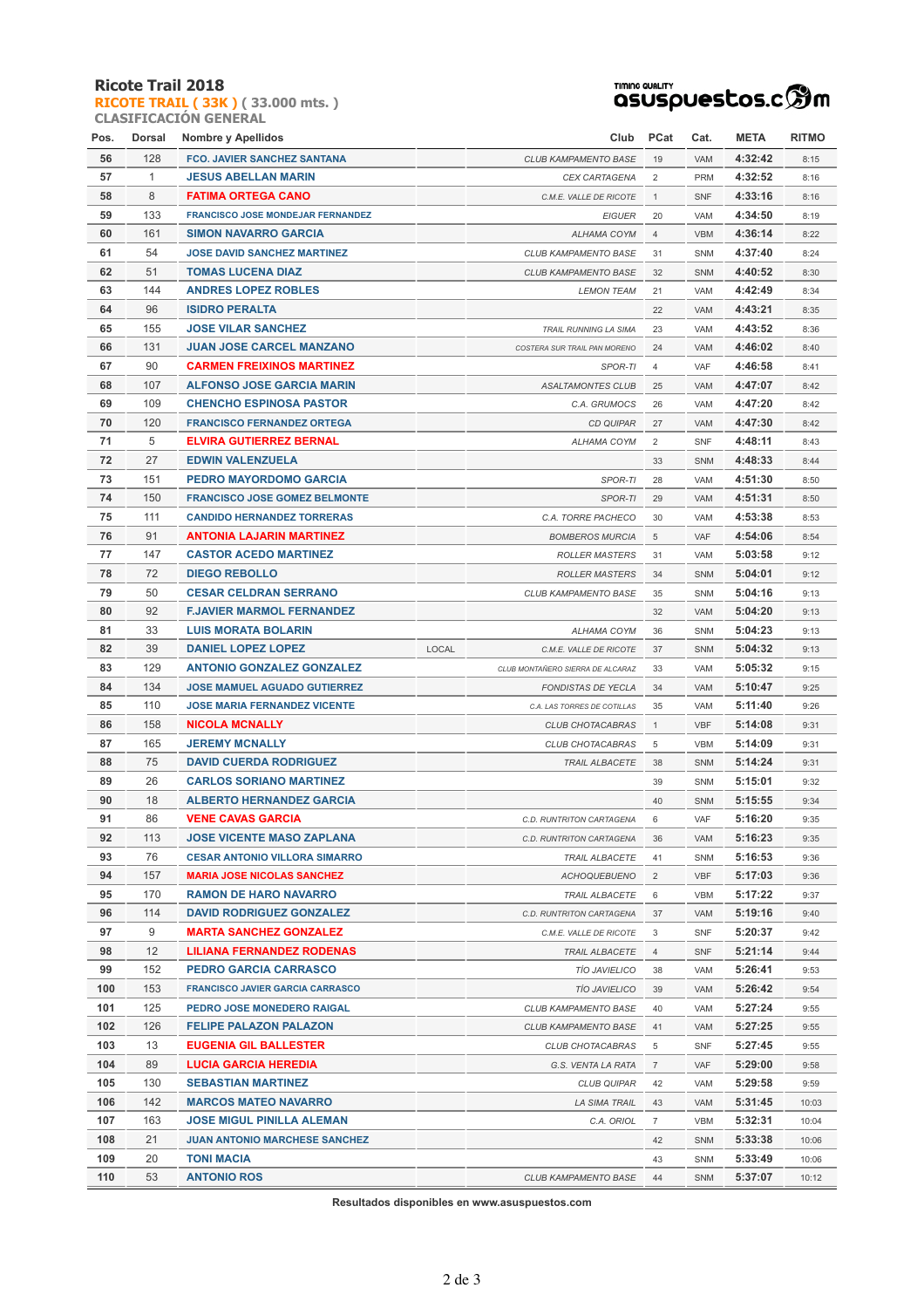#### **Ricote Trail 2018**

**RICOTE TRAIL ( 33K ) ( 33.000 mts. ) CLASIFICACIÓN GENERAL**

# TIMING QUALITY<br>QSUSPUESCOS.C **SOM**

| Pos. | Dorsal       | <b>Nombre y Apellidos</b>                |       | Club                             | <b>PCat</b>    | Cat.       | <b>META</b> | ritmo |
|------|--------------|------------------------------------------|-------|----------------------------------|----------------|------------|-------------|-------|
| 56   | 128          | <b>FCO. JAVIER SANCHEZ SANTANA</b>       |       | CLUB KAMPAMENTO BASE             | 19             | VAM        | 4:32:42     | 8:15  |
| 57   | $\mathbf{1}$ | <b>JESUS ABELLAN MARIN</b>               |       | CEX CARTAGENA                    | $\overline{2}$ | <b>PRM</b> | 4:32:52     | 8:16  |
| 58   | 8            | <b>FATIMA ORTEGA CANO</b>                |       | C.M.E. VALLE DE RICOTE           | $\mathbf{1}$   | SNF        | 4:33:16     | 8:16  |
| 59   | 133          | <b>FRANCISCO JOSE MONDEJAR FERNANDEZ</b> |       | <b>EIGUER</b>                    | 20             | VAM        | 4:34:50     | 8:19  |
| 60   | 161          | <b>SIMON NAVARRO GARCIA</b>              |       | <b>ALHAMA COYM</b>               | $\overline{4}$ | <b>VBM</b> | 4:36:14     | 8:22  |
| 61   | 54           | <b>JOSE DAVID SANCHEZ MARTINEZ</b>       |       | CLUB KAMPAMENTO BASE             | 31             | <b>SNM</b> | 4:37:40     | 8:24  |
| 62   | 51           | <b>TOMAS LUCENA DIAZ</b>                 |       | <b>CLUB KAMPAMENTO BASE</b>      | 32             | SNM        | 4:40:52     | 8:30  |
| 63   | 144          | <b>ANDRES LOPEZ ROBLES</b>               |       | <b>LEMON TEAM</b>                | 21             | VAM        | 4:42:49     | 8:34  |
| 64   | 96           | <b>ISIDRO PERALTA</b>                    |       |                                  | 22             | VAM        | 4:43:21     | 8:35  |
| 65   | 155          | <b>JOSE VILAR SANCHEZ</b>                |       | <b>TRAIL RUNNING LA SIMA</b>     | 23             | VAM        | 4:43:52     | 8:36  |
| 66   | 131          | <b>JUAN JOSE CARCEL MANZANO</b>          |       | COSTERA SUR TRAIL PAN MORENO     | 24             | VAM        | 4:46:02     | 8:40  |
| 67   | 90           | <b>CARMEN FREIXINOS MARTINEZ</b>         |       | SPOR-TI                          | $\overline{4}$ | <b>VAF</b> | 4:46:58     | 8:41  |
| 68   | 107          | <b>ALFONSO JOSE GARCIA MARIN</b>         |       | <b>ASALTAMONTES CLUB</b>         | 25             | VAM        | 4:47:07     | 8:42  |
| 69   | 109          | <b>CHENCHO ESPINOSA PASTOR</b>           |       | C.A. GRUMOCS                     | 26             | VAM        | 4:47:20     | 8:42  |
| 70   | 120          | <b>FRANCISCO FERNANDEZ ORTEGA</b>        |       | <b>CD QUIPAR</b>                 | 27             | VAM        | 4:47:30     | 8:42  |
| 71   | 5            | <b>ELVIRA GUTIERREZ BERNAL</b>           |       | ALHAMA COYM                      | $\overline{2}$ | SNF        | 4:48:11     | 8:43  |
| 72   | 27           | <b>EDWIN VALENZUELA</b>                  |       |                                  | 33             | <b>SNM</b> | 4:48:33     | 8:44  |
| 73   | 151          | PEDRO MAYORDOMO GARCIA                   |       | SPOR-TI                          | 28             | VAM        | 4:51:30     | 8:50  |
| 74   | 150          | <b>FRANCISCO JOSE GOMEZ BELMONTE</b>     |       | SPOR-TI                          | 29             | <b>VAM</b> | 4:51:31     | 8:50  |
| 75   | 111          | <b>CANDIDO HERNANDEZ TORRERAS</b>        |       | C.A. TORRE PACHECO               | 30             | VAM        | 4:53:38     | 8:53  |
| 76   | 91           | <b>ANTONIA LAJARIN MARTINEZ</b>          |       | <b>BOMBEROS MURCIA</b>           | 5              | <b>VAF</b> | 4:54:06     | 8:54  |
| 77   | 147          | <b>CASTOR ACEDO MARTINEZ</b>             |       | <b>ROLLER MASTERS</b>            | 31             | VAM        | 5:03:58     | 9:12  |
| 78   | 72           | <b>DIEGO REBOLLO</b>                     |       | <b>ROLLER MASTERS</b>            | 34             | SNM        | 5:04:01     | 9:12  |
| 79   | 50           | <b>CESAR CELDRAN SERRANO</b>             |       | CLUB KAMPAMENTO BASE             | 35             | SNM        | 5:04:16     | 9:13  |
| 80   | 92           | <b>F.JAVIER MARMOL FERNANDEZ</b>         |       |                                  | 32             | VAM        | 5:04:20     | 9:13  |
| 81   | 33           | <b>LUIS MORATA BOLARIN</b>               |       | ALHAMA COYM                      | 36             | SNM        | 5:04:23     | 9:13  |
| 82   | 39           | <b>DANIEL LOPEZ LOPEZ</b>                | LOCAL | C.M.E. VALLE DE RICOTE           | 37             | SNM        | 5:04:32     | 9:13  |
| 83   | 129          | <b>ANTONIO GONZALEZ GONZALEZ</b>         |       | CLUB MONTAÑERO SIERRA DE ALCARAZ | 33             | VAM        | 5:05:32     | 9:15  |
| 84   | 134          | <b>JOSE MAMUEL AGUADO GUTIERREZ</b>      |       | <b>FONDISTAS DE YECLA</b>        | 34             | VAM        | 5:10:47     | 9:25  |
| 85   | 110          | <b>JOSE MARIA FERNANDEZ VICENTE</b>      |       | C.A. LAS TORRES DE COTILLAS      | 35             | VAM        | 5:11:40     | 9:26  |
| 86   | 158          | <b>NICOLA MCNALLY</b>                    |       | CLUB CHOTACABRAS                 | $\mathbf{1}$   | <b>VBF</b> | 5:14:08     | 9:31  |
| 87   | 165          | <b>JEREMY MCNALLY</b>                    |       | CLUB CHOTACABRAS                 | 5              | <b>VBM</b> | 5:14:09     | 9:31  |
| 88   | 75           | <b>DAVID CUERDA RODRIGUEZ</b>            |       | <b>TRAIL ALBACETE</b>            | 38             | <b>SNM</b> | 5:14:24     | 9:31  |
| 89   | 26           | <b>CARLOS SORIANO MARTINEZ</b>           |       |                                  | 39             | <b>SNM</b> | 5:15:01     | 9:32  |
| 90   | 18           | <b>ALBERTO HERNANDEZ GARCIA</b>          |       |                                  | 40             | SNM        | 5:15:55     | 9:34  |
| 91   | 86           | <b>VENE CAVAS GARCIA</b>                 |       | C.D. RUNTRITON CARTAGENA         | 6              | VAF        | 5:16:20     | 9:35  |
| 92   | 113          | <b>JOSE VICENTE MASO ZAPLANA</b>         |       | C.D. RUNTRITON CARTAGENA         | 36             | VAM        | 5:16:23     | 9:35  |
| 93   | 76           | <b>CESAR ANTONIO VILLORA SIMARRO</b>     |       | TRAIL ALBACETE                   | 41             | SNM        | 5:16:53     | 9:36  |
| 94   | 157          | <b>MARIA JOSE NICOLAS SANCHEZ</b>        |       | <b>ACHOQUEBUENO</b>              | $\overline{2}$ | <b>VBF</b> | 5:17:03     | 9:36  |
| 95   | 170          | <b>RAMON DE HARO NAVARRO</b>             |       | <b>TRAIL ALBACETE</b>            | 6              | <b>VBM</b> | 5:17:22     | 9:37  |
| 96   | 114          | <b>DAVID RODRIGUEZ GONZALEZ</b>          |       | C.D. RUNTRITON CARTAGENA         | 37             | VAM        | 5:19:16     | 9:40  |
| 97   | 9            | <b>MARTA SANCHEZ GONZALEZ</b>            |       | C.M.E. VALLE DE RICOTE           | 3              | <b>SNF</b> | 5:20:37     | 9:42  |
| 98   | 12           | <b>LILIANA FERNANDEZ RODENAS</b>         |       | <b>TRAIL ALBACETE</b>            | 4              | <b>SNF</b> | 5:21:14     | 9:44  |
| 99   | 152          | PEDRO GARCIA CARRASCO                    |       | <b>TÍO JAVIELICO</b>             | 38             | VAM        | 5:26:41     | 9:53  |
| 100  | 153          | <b>FRANCISCO JAVIER GARCIA CARRASCO</b>  |       | <b>TIO JAVIELICO</b>             | 39             | VAM        | 5:26:42     | 9:54  |
| 101  | 125          | PEDRO JOSE MONEDERO RAIGAL               |       | CLUB KAMPAMENTO BASE             | 40             | VAM        | 5:27:24     | 9:55  |
| 102  | 126          | <b>FELIPE PALAZON PALAZON</b>            |       | CLUB KAMPAMENTO BASE             | 41             | VAM        | 5:27:25     | 9:55  |
| 103  | 13           | EUGENIA GIL BALLESTER                    |       | CLUB CHOTACABRAS                 | 5              | SNF        | 5:27:45     | 9:55  |
| 104  | 89           | <b>LUCIA GARCIA HEREDIA</b>              |       | G.S. VENTA LA RATA               | $\overline{7}$ | VAF        | 5:29:00     | 9:58  |
| 105  | 130          | <b>SEBASTIAN MARTINEZ</b>                |       | <b>CLUB QUIPAR</b>               | 42             | VAM        | 5:29:58     | 9:59  |
| 106  | 142          | <b>MARCOS MATEO NAVARRO</b>              |       | LA SIMA TRAIL                    | 43             | VAM        | 5:31:45     | 10:03 |
| 107  | 163          | JOSE MIGUL PINILLA ALEMAN                |       | C.A. ORIOL                       | $\overline{7}$ | VBM        | 5:32:31     | 10:04 |
| 108  | 21           | <b>JUAN ANTONIO MARCHESE SANCHEZ</b>     |       |                                  | 42             | SNM        | 5:33:38     | 10:06 |
| 109  | 20           | <b>TONI MACIA</b>                        |       |                                  | 43             | SNM        | 5:33:49     | 10:06 |
| 110  | 53           | <b>ANTONIO ROS</b>                       |       | <b>CLUB KAMPAMENTO BASE</b>      | 44             | SNM        | 5:37:07     | 10:12 |
|      |              |                                          |       |                                  |                |            |             |       |

**Resultados disponibles en www.asuspuestos.com**